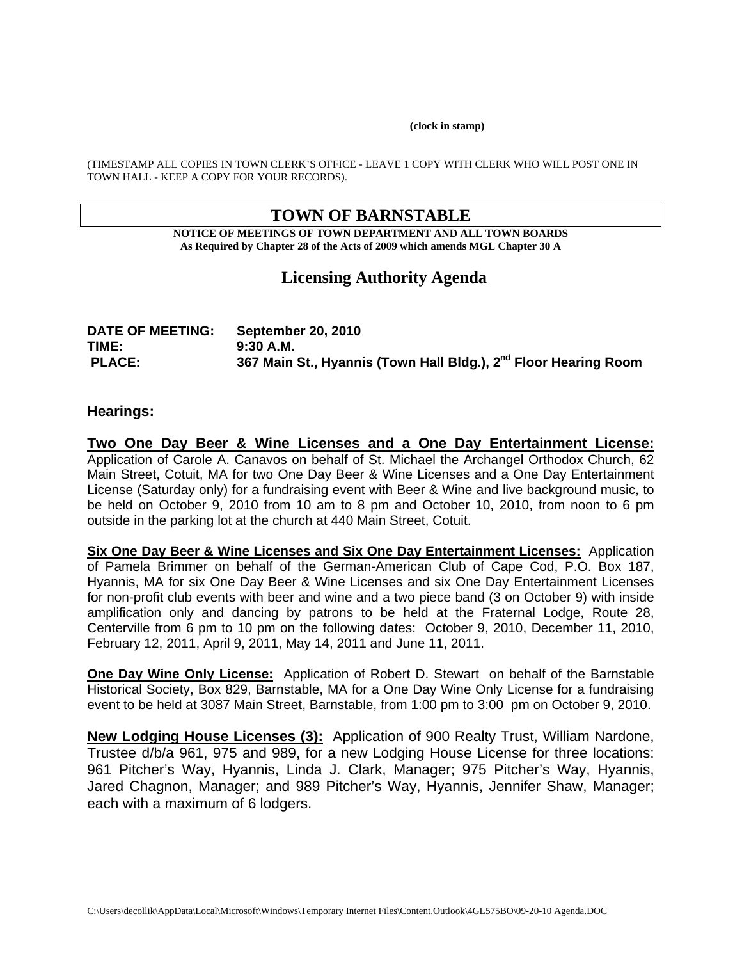#### **(clock in stamp)**

(TIMESTAMP ALL COPIES IN TOWN CLERK'S OFFICE - LEAVE 1 COPY WITH CLERK WHO WILL POST ONE IN TOWN HALL - KEEP A COPY FOR YOUR RECORDS).

# **TOWN OF BARNSTABLE**

**NOTICE OF MEETINGS OF TOWN DEPARTMENT AND ALL TOWN BOARDS As Required by Chapter 28 of the Acts of 2009 which amends MGL Chapter 30 A** 

# **Licensing Authority Agenda**

| <b>DATE OF MEETING:</b> | <b>September 20, 2010</b>                                                   |
|-------------------------|-----------------------------------------------------------------------------|
| TIME:                   | $9:30$ A.M.                                                                 |
| <b>PLACE:</b>           | 367 Main St., Hyannis (Town Hall Bldg.), 2 <sup>nd</sup> Floor Hearing Room |

### **Hearings:**

**Two One Day Beer & Wine Licenses and a One Day Entertainment License:** Application of Carole A. Canavos on behalf of St. Michael the Archangel Orthodox Church, 62 Main Street, Cotuit, MA for two One Day Beer & Wine Licenses and a One Day Entertainment License (Saturday only) for a fundraising event with Beer & Wine and live background music, to be held on October 9, 2010 from 10 am to 8 pm and October 10, 2010, from noon to 6 pm outside in the parking lot at the church at 440 Main Street, Cotuit.

**Six One Day Beer & Wine Licenses and Six One Day Entertainment Licenses:** Application of Pamela Brimmer on behalf of the German-American Club of Cape Cod, P.O. Box 187, Hyannis, MA for six One Day Beer & Wine Licenses and six One Day Entertainment Licenses for non-profit club events with beer and wine and a two piece band (3 on October 9) with inside amplification only and dancing by patrons to be held at the Fraternal Lodge, Route 28, Centerville from 6 pm to 10 pm on the following dates: October 9, 2010, December 11, 2010, February 12, 2011, April 9, 2011, May 14, 2011 and June 11, 2011.

**One Day Wine Only License:** Application of Robert D. Stewart on behalf of the Barnstable Historical Society, Box 829, Barnstable, MA for a One Day Wine Only License for a fundraising event to be held at 3087 Main Street, Barnstable, from 1:00 pm to 3:00 pm on October 9, 2010.

**New Lodging House Licenses (3):** Application of 900 Realty Trust, William Nardone, Trustee d/b/a 961, 975 and 989, for a new Lodging House License for three locations: 961 Pitcher's Way, Hyannis, Linda J. Clark, Manager; 975 Pitcher's Way, Hyannis, Jared Chagnon, Manager; and 989 Pitcher's Way, Hyannis, Jennifer Shaw, Manager; each with a maximum of 6 lodgers.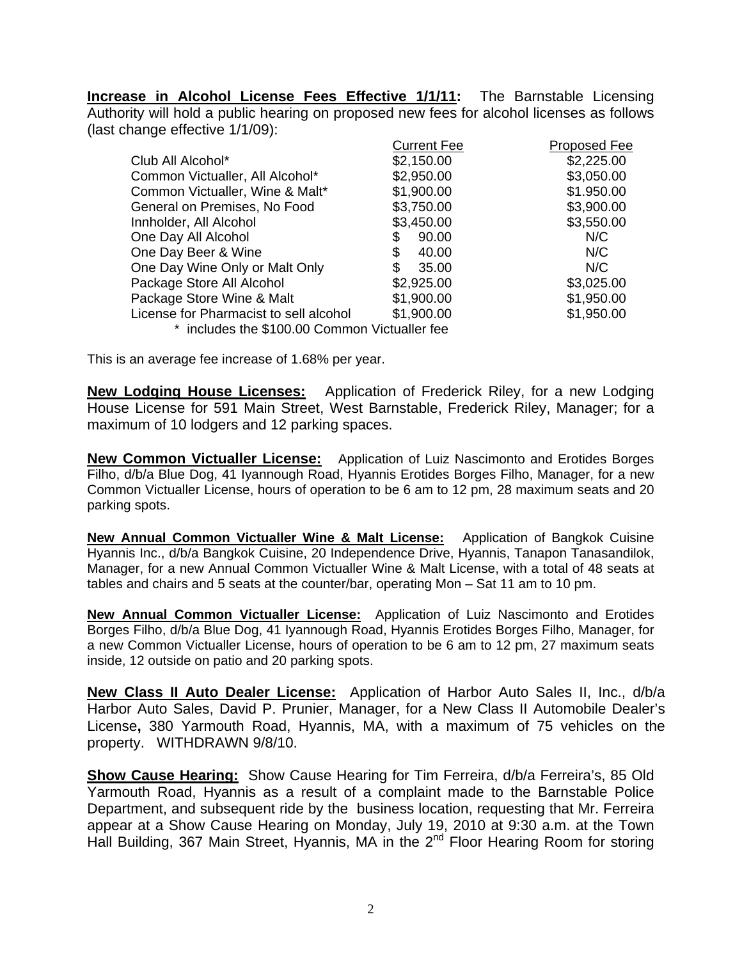**Increase in Alcohol License Fees Effective 1/1/11:** The Barnstable Licensing Authority will hold a public hearing on proposed new fees for alcohol licenses as follows (last change effective 1/1/09):

|                                               | <b>Current Fee</b> | Proposed Fee |
|-----------------------------------------------|--------------------|--------------|
| Club All Alcohol*                             | \$2,150.00         | \$2,225.00   |
| Common Victualler, All Alcohol*               | \$2,950.00         | \$3,050.00   |
| Common Victualler, Wine & Malt*               | \$1,900.00         | \$1.950.00   |
| General on Premises, No Food                  | \$3,750.00         | \$3,900.00   |
| Innholder, All Alcohol                        | \$3,450.00         | \$3,550.00   |
| One Day All Alcohol                           | 90.00              | N/C          |
| One Day Beer & Wine                           | 40.00              | N/C          |
| One Day Wine Only or Malt Only                | \$<br>35.00        | N/C          |
| Package Store All Alcohol                     | \$2,925.00         | \$3,025.00   |
| Package Store Wine & Malt                     | \$1,900.00         | \$1,950.00   |
| License for Pharmacist to sell alcohol        | \$1,900.00         | \$1,950.00   |
| * includes the \$100.00 Common Victualler fee |                    |              |

This is an average fee increase of 1.68% per year.

**New Lodging House Licenses:** Application of Frederick Riley, for a new Lodging House License for 591 Main Street, West Barnstable, Frederick Riley, Manager; for a maximum of 10 lodgers and 12 parking spaces.

**New Common Victualler License:** Application of Luiz Nascimonto and Erotides Borges Filho, d/b/a Blue Dog, 41 Iyannough Road, Hyannis Erotides Borges Filho, Manager, for a new Common Victualler License, hours of operation to be 6 am to 12 pm, 28 maximum seats and 20 parking spots.

**New Annual Common Victualler Wine & Malt License:** Application of Bangkok Cuisine Hyannis Inc., d/b/a Bangkok Cuisine, 20 Independence Drive, Hyannis, Tanapon Tanasandilok, Manager, for a new Annual Common Victualler Wine & Malt License, with a total of 48 seats at tables and chairs and 5 seats at the counter/bar, operating Mon – Sat 11 am to 10 pm.

**New Annual Common Victualler License:** Application of Luiz Nascimonto and Erotides Borges Filho, d/b/a Blue Dog, 41 Iyannough Road, Hyannis Erotides Borges Filho, Manager, for a new Common Victualler License, hours of operation to be 6 am to 12 pm, 27 maximum seats inside, 12 outside on patio and 20 parking spots.

**New Class II Auto Dealer License:** Application of Harbor Auto Sales II, Inc., d/b/a Harbor Auto Sales, David P. Prunier, Manager, for a New Class II Automobile Dealer's License**,** 380 Yarmouth Road, Hyannis, MA, with a maximum of 75 vehicles on the property. WITHDRAWN 9/8/10.

**Show Cause Hearing:** Show Cause Hearing for Tim Ferreira, d/b/a Ferreira's, 85 Old Yarmouth Road, Hyannis as a result of a complaint made to the Barnstable Police Department, and subsequent ride by the business location, requesting that Mr. Ferreira appear at a Show Cause Hearing on Monday, July 19, 2010 at 9:30 a.m. at the Town Hall Building, 367 Main Street, Hyannis, MA in the 2<sup>nd</sup> Floor Hearing Room for storing